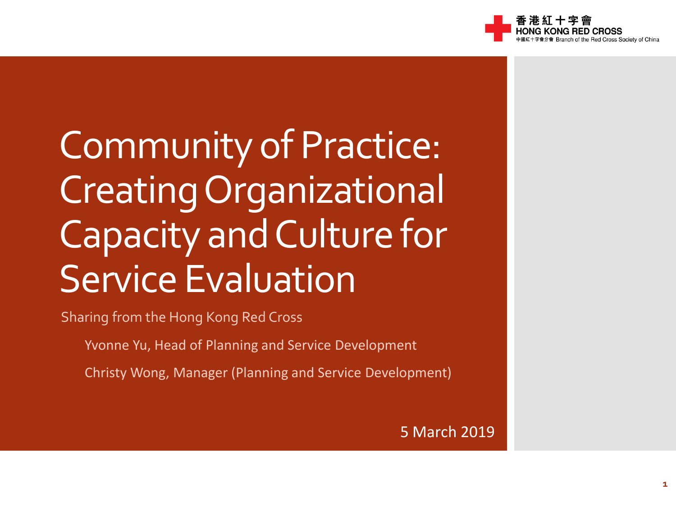

Community of Practice: Creating Organizational Capacity and Culture for Service Evaluation

Sharing from the Hong Kong Red Cross

Yvonne Yu, Head of Planning and Service Development

Christy Wong, Manager (Planning and Service Development)

5 March 2019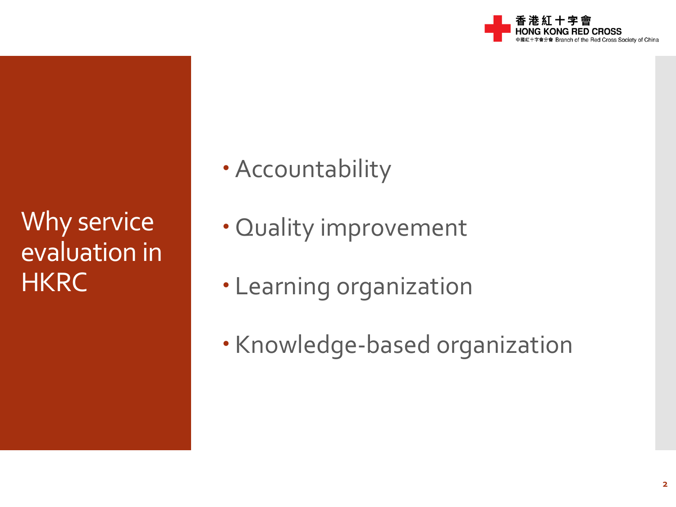

Why service evaluation in **HKRC** 

- Accountability
- Quality improvement
- Learning organization
- · Knowledge-based organization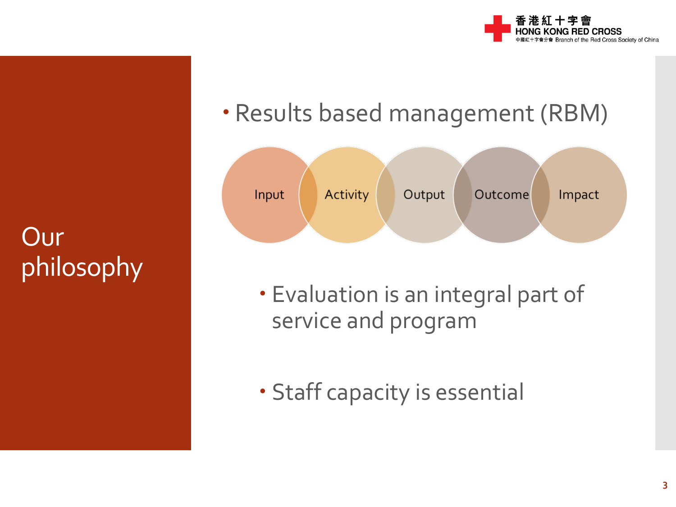

## Our philosophy

#### Results based management (RBM)



- Evaluation is an integral part of service and program
- Staff capacity is essential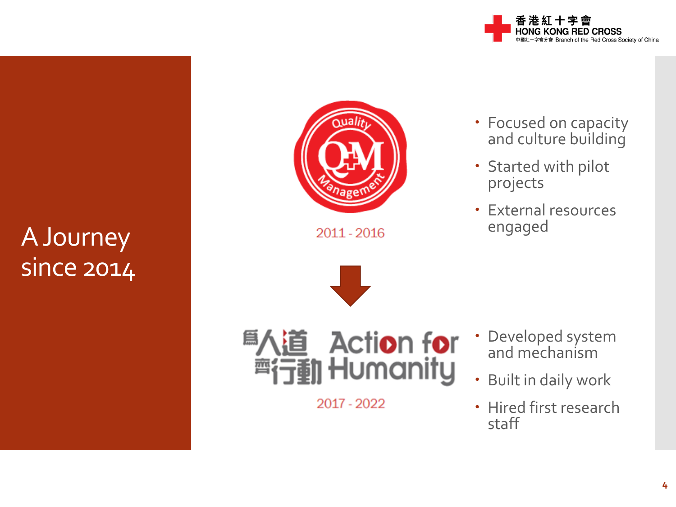

#### A Journey since 2014



2011 - 2016





2017 - 2022

- Focused on capacity and culture building
- Started with pilot projects
- External resources engaged

- Developed system and mechanism
- Built in daily work
- Hired first research staff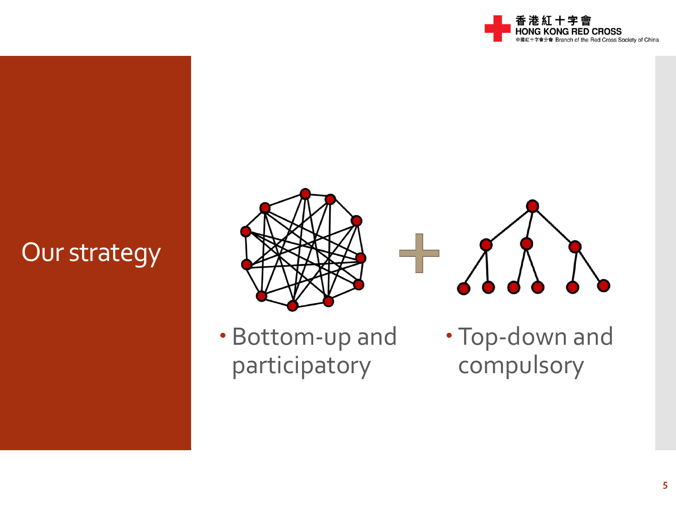

## Our strategy





 Bottom-up and participatory

 Top-down and compulsory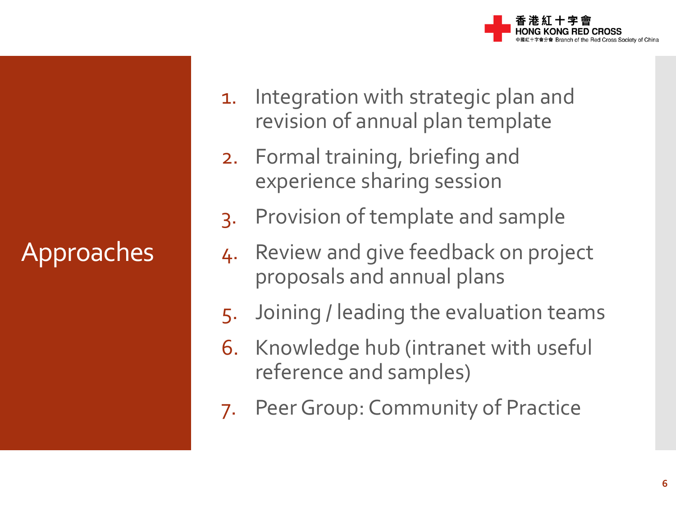**ED CROSS** of the Red Cross Society of China

# Approaches

- 1. Integration with strategic plan and revision of annual plan template
- 2. Formal training, briefing and experience sharing session
- 3. Provision of template and sample
- 4. Review and give feedback on project proposals and annual plans
- 5. Joining / leading the evaluation teams
- 6. Knowledge hub (intranet with useful reference and samples)
- 7. Peer Group: Community of Practice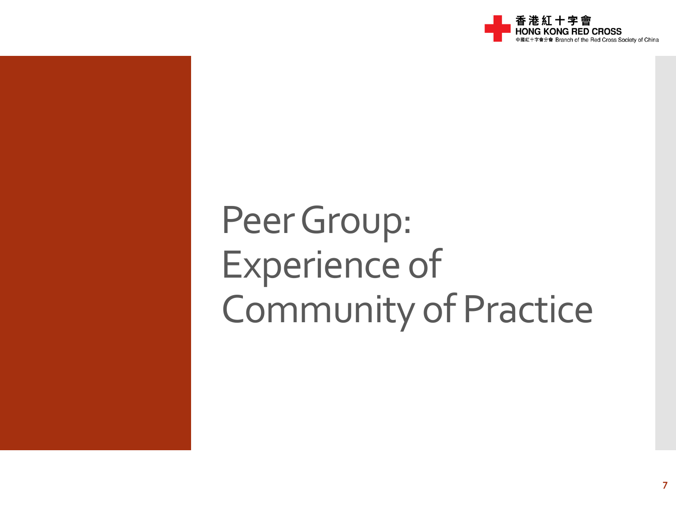

# Peer Group: Experience of Community of Practice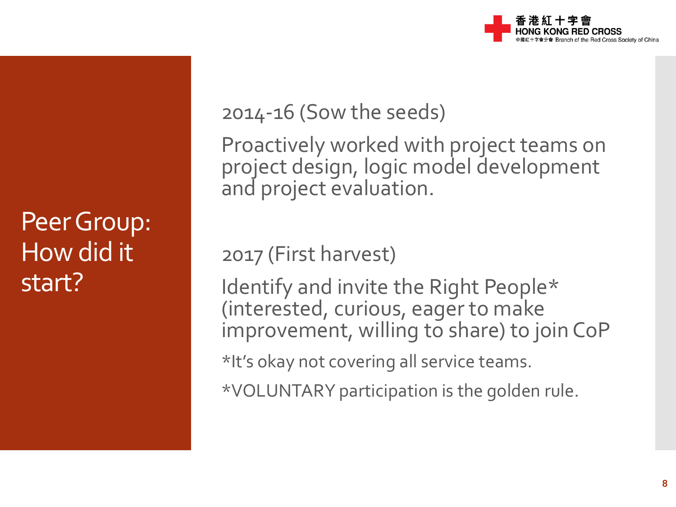

Peer Group: How did it start?

2014-16 (Sow the seeds)

Proactively worked with project teams on project design, logic model development and project evaluation.

2017 (First harvest)

Identify and invite the Right People\* (interested, curious, eager to make improvement, willing to share) to join CoP

\*It's okay not covering all service teams.

\*VOLUNTARY participation is the golden rule.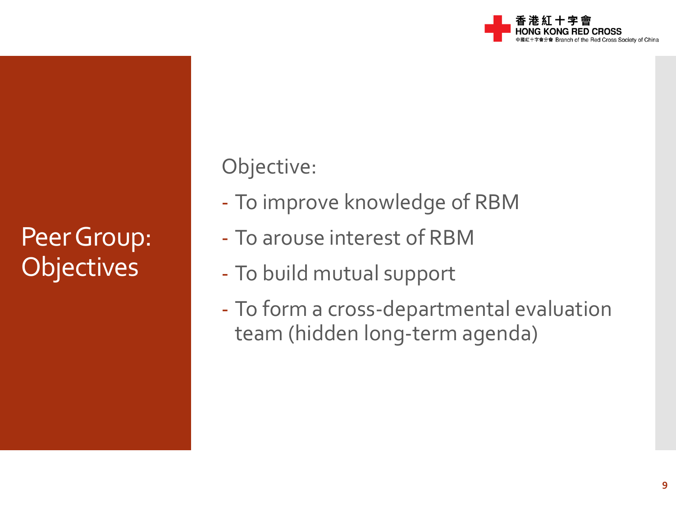

### Peer Group: **Objectives**

Objective:

- To improve knowledge of RBM
- To arouse interest of RBM
- To build mutual support
- To form a cross-departmental evaluation team (hidden long-term agenda)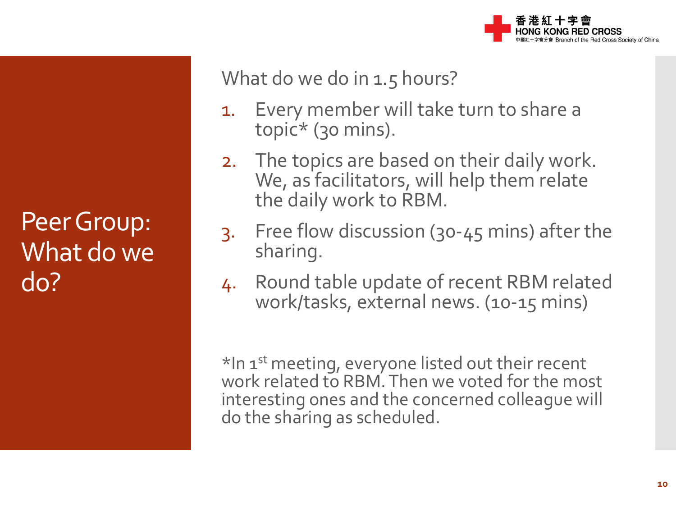

Peer Group: What do we do?

What do we do in 1.5 hours?

- 1. Every member will take turn to share a topic\* (30 mins).
- 2. The topics are based on their daily work. We, as facilitators, will help them relate the daily work to RBM.
- 3. Free flow discussion (30-45 mins) after the sharing.
- 4. Round table update of recent RBM related work/tasks, external news. (10-15 mins)

\*In 1<sup>st</sup> meeting, everyone listed out their recent work related to RBM. Then we voted for the most interesting ones and the concerned colleague will do the sharing as scheduled.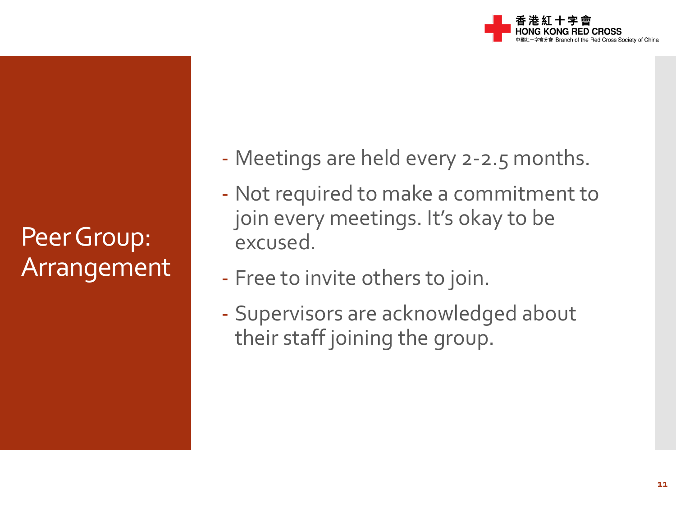

Peer Group: Arrangement - Meetings are held every 2-2.5 months.

- Not required to make a commitment to join every meetings. It's okay to be excused.
- Free to invite others to join.
- Supervisors are acknowledged about their staff joining the group.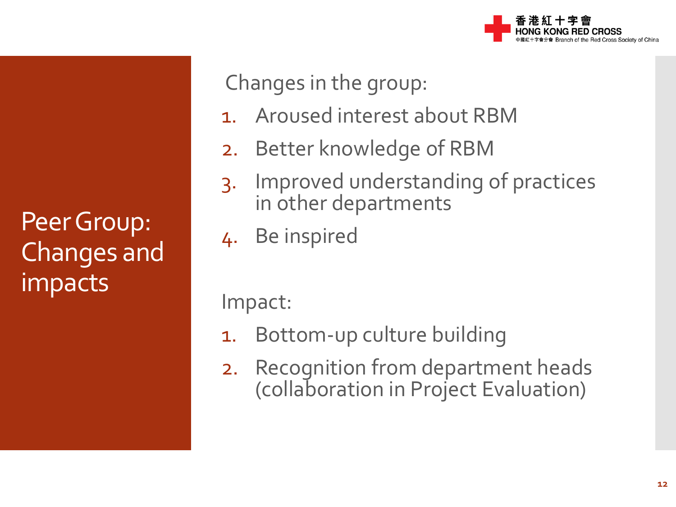

Peer Group: Changes and impacts

Changes in the group:

- 1. Aroused interest about RBM
- 2. Better knowledge of RBM
- 3. Improved understanding of practices in other departments
- 4. Be inspired

Impact:

- 1. Bottom-up culture building
- 2. Recognition from department heads (collaboration in Project Evaluation)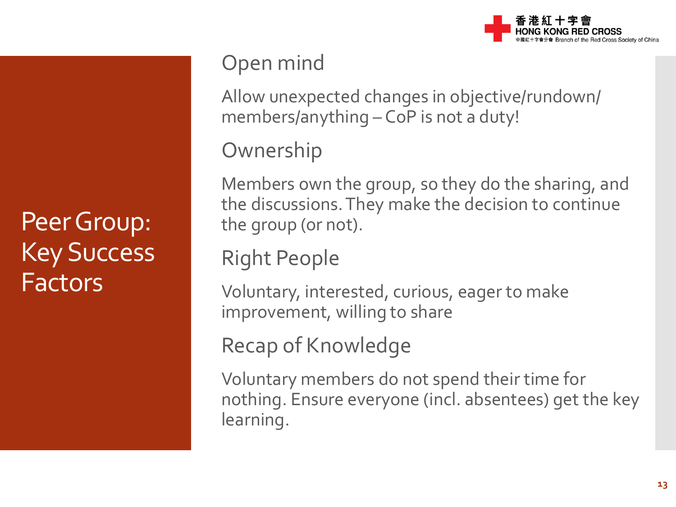

## Peer Group: Key Success Factors

#### Open mind

Allow unexpected changes in objective/rundown/ members/anything – CoP is not a duty!

**Ownership** 

Members own the group, so they do the sharing, and the discussions. They make the decision to continue the group (or not).

#### Right People

Voluntary, interested, curious, eager to make improvement, willing to share

#### Recap of Knowledge

Voluntary members do not spend their time for nothing. Ensure everyone (incl. absentees) get the key learning.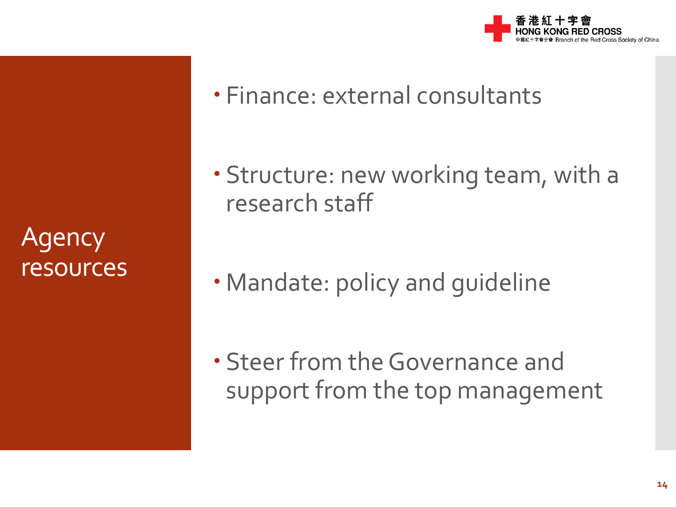**Agency** resources

- Finance: external consultants
- Structure: new working team, with a research staff
- Mandate: policy and guideline

 Steer from the Governance and support from the top management

Red Cross Society of China